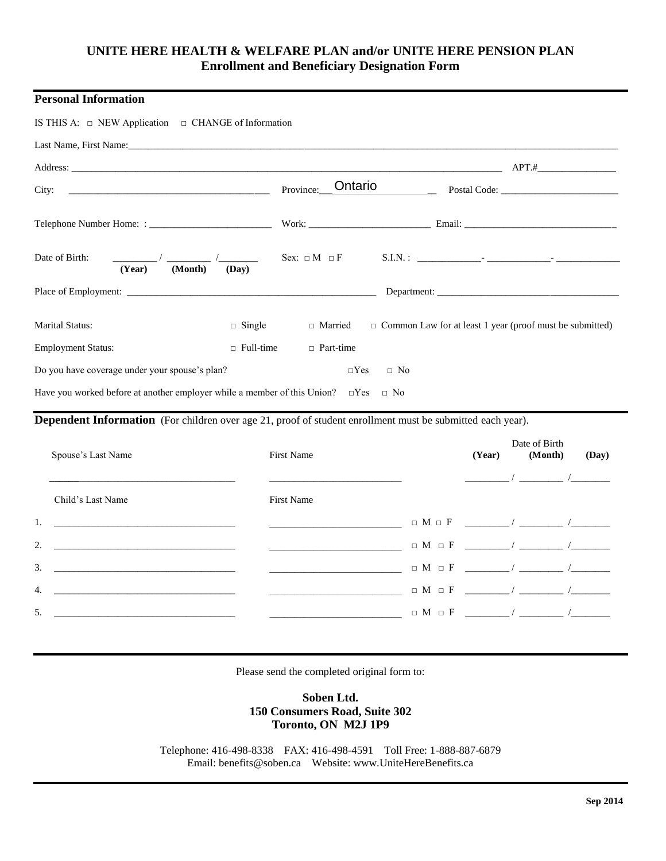# **UNITE HERE HEALTH & WELFARE PLAN and/or UNITE HERE PENSION PLAN Enrollment and Beneficiary Designation Form**

## **Personal Information**

| IS THIS A: $\Box$ NEW Application $\Box$ CHANGE of Information                                                                                                                                                                 |                      |                                                                 |  |
|--------------------------------------------------------------------------------------------------------------------------------------------------------------------------------------------------------------------------------|----------------------|-----------------------------------------------------------------|--|
| Last Name, First Name: 2008. The contract of the contract of the contract of the contract of the contract of the contract of the contract of the contract of the contract of the contract of the contract of the contract of t |                      |                                                                 |  |
|                                                                                                                                                                                                                                |                      | $APT.$ #                                                        |  |
|                                                                                                                                                                                                                                | Ontario<br>Province: |                                                                 |  |
|                                                                                                                                                                                                                                |                      |                                                                 |  |
| Date of Birth:<br>(Year)<br>(Month)<br>(Day)                                                                                                                                                                                   |                      |                                                                 |  |
|                                                                                                                                                                                                                                |                      |                                                                 |  |
| <b>Marital Status:</b><br>$\Box$ Single                                                                                                                                                                                        | □ Married            | $\Box$ Common Law for at least 1 year (proof must be submitted) |  |
| $\Box$ Full-time<br><b>Employment Status:</b>                                                                                                                                                                                  | $\Box$ Part-time     |                                                                 |  |
| Do you have coverage under your spouse's plan?                                                                                                                                                                                 | $\Box$ Yes           | $\Box$ No                                                       |  |
| Have you worked before at another employer while a member of this Union? $\square$ Yes $\square$ No                                                                                                                            |                      |                                                                 |  |

**Dependent Information** (For children over age 21, proof of student enrollment must be submitted each year).

| Spouse's Last Name | <b>First Name</b> |  | Date of Birth | (Day)                                                                                                                                                                                                                                                                                                                                                                                                                                                                                                                                                                                                                                                                            |
|--------------------|-------------------|--|---------------|----------------------------------------------------------------------------------------------------------------------------------------------------------------------------------------------------------------------------------------------------------------------------------------------------------------------------------------------------------------------------------------------------------------------------------------------------------------------------------------------------------------------------------------------------------------------------------------------------------------------------------------------------------------------------------|
| Child's Last Name  | <b>First Name</b> |  |               |                                                                                                                                                                                                                                                                                                                                                                                                                                                                                                                                                                                                                                                                                  |
|                    |                   |  |               |                                                                                                                                                                                                                                                                                                                                                                                                                                                                                                                                                                                                                                                                                  |
| 2. $\qquad \qquad$ |                   |  |               |                                                                                                                                                                                                                                                                                                                                                                                                                                                                                                                                                                                                                                                                                  |
| 3.                 |                   |  |               |                                                                                                                                                                                                                                                                                                                                                                                                                                                                                                                                                                                                                                                                                  |
|                    |                   |  |               |                                                                                                                                                                                                                                                                                                                                                                                                                                                                                                                                                                                                                                                                                  |
| 5.                 |                   |  |               |                                                                                                                                                                                                                                                                                                                                                                                                                                                                                                                                                                                                                                                                                  |
|                    |                   |  |               | (Year) (Month)<br>$\sqrt{2}$ and $\sqrt{2}$ and $\sqrt{2}$ and $\sqrt{2}$ and $\sqrt{2}$ and $\sqrt{2}$ and $\sqrt{2}$ and $\sqrt{2}$ and $\sqrt{2}$ and $\sqrt{2}$ and $\sqrt{2}$ and $\sqrt{2}$ and $\sqrt{2}$ and $\sqrt{2}$ and $\sqrt{2}$ and $\sqrt{2}$ and $\sqrt{2}$ and $\sqrt{2}$ and $\sqrt{2$<br>$\Box$ M $\Box$ F $\qquad \qquad$ / $\qquad \qquad$ / $\qquad \qquad$<br>$\Box M \Box F \quad \underline{\hspace{1cm}} / \ \underline{\hspace{1cm}} / \ \underline{\hspace{1cm}} / \ \underline{\hspace{1cm}}$<br>$\Box M \Box F \ \_\_\_ \ /\ \_\_\_ \ /\ \_\_\_ \ /\ \_\_\_ \ /\ \_\_\_ \$<br>$\Box M \Box F \ \_\_ \ \_ \ /\ \_ \ \_ \ \_ \ \_ \ \_ \ \_ \ \_ \$ |

Please send the completed original form to:

## **Soben Ltd. 150 Consumers Road, Suite 302 Toronto, ON M2J 1P9**

Telephone: 416-498-8338 FAX: 416-498-4591 Toll Free: 1-888-887-6879 Email: [benefits@soben.ca](mailto:benefits@soben.ca) Website: www.UniteHereBenefits.ca